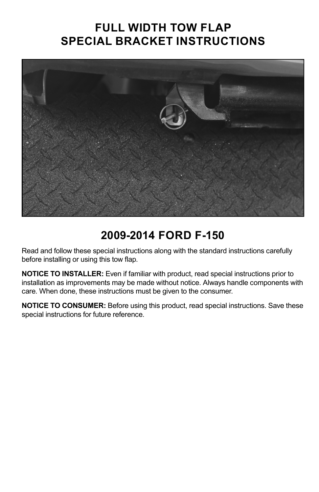## **FULL WIDTH TOW FLAP SPECIAL BRACKET INSTRUCTIONS**



### **2009-2014 FORD F-150**

Read and follow these special instructions along with the standard instructions carefully before installing or using this tow flap.

**NOTICE TO INSTALLER:** Even if familiar with product, read special instructions prior to installation as improvements may be made without notice. Always handle components with care. When done, these instructions must be given to the consumer.

**NOTICE TO CONSUMER:** Before using this product, read special instructions. Save these special instructions for future reference.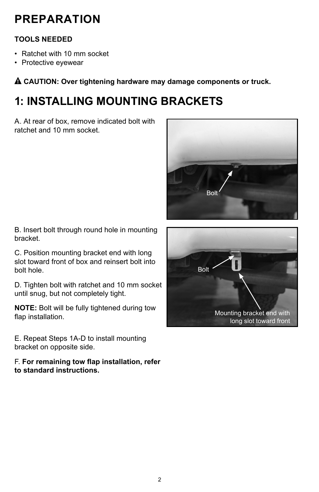# **PREPARATION**

#### **TOOLS NEEDED**

- Ratchet with 10 mm socket
- Protective eyewear

! **CAUTION: Over tightening hardware may damage components or truck.**

# **1: INSTALLING MOUNTING BRACKETS**

A. At rear of box, remove indicated bolt with ratchet and 10 mm socket.



B. Insert bolt through round hole in mounting bracket.

C. Position mounting bracket end with long slot toward front of box and reinsert bolt into bolt hole.

D. Tighten bolt with ratchet and 10 mm socket until snug, but not completely tight.

**NOTE:** Bolt will be fully tightened during tow flap installation.

E. Repeat Steps 1A-D to install mounting bracket on opposite side.

F. **For remaining tow flap installation, refer to standard instructions.**